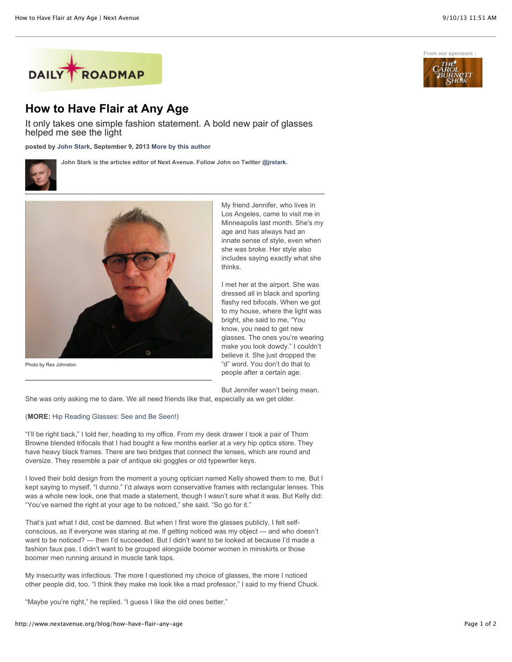

## **How to Have Flair at Any Age**

It only takes one simple fashion statement. A bold new pair of glasses helped me see the light

**posted by [John Stark,](http://www.nextavenue.org/staff/john-stark) September 9, 2013 [More by this author](http://www.nextavenue.org/staff/john-stark)**

**John Stark is the articles editor of Next Avenue. Follow John on Twitter [@jrstark](http://twitter.com/jrstark).**



Photo by Rex Johnston

My friend Jennifer, who lives in Los Angeles, came to visit me in Minneapolis last month. She's my age and has always had an innate sense of style, even when she was broke. Her style also includes saying exactly what she thinks.

I met her at the airport. She was dressed all in black and sporting flashy red bifocals. When we got to my house, where the light was bright, she said to me, "You know, you need to get new glasses. The ones you're wearing make you look dowdy." I couldn't believe it. She just dropped the "d" word. You don't do that to people after a certain age.

But Jennifer wasn't being mean.

She was only asking me to dare. We all need friends like that, especially as we get older.

## (**MORE:** [Hip Reading Glasses: See and Be Seen!\)](http://www.nextavenue.org/article/2012-02/hip-reading-glasses-see-and-be-seen)

"I'll be right back," I told her, heading to my office. From my desk drawer I took a pair of Thom Browne blended trifocals that I had bought a few months earlier at a very hip optics store. They have heavy black frames. There are two bridges that connect the lenses, which are round and oversize. They resemble a pair of antique ski goggles or old typewriter keys.

I loved their bold design from the moment a young optician named Kelly showed them to me. But I kept saying to myself, "I dunno." I'd always worn conservative frames with rectangular lenses. This was a whole new look, one that made a statement, though I wasn't sure what it was. But Kelly did: "You've earned the right at your age to be noticed," she said. "So go for it."

That's just what I did, cost be damned. But when I first wore the glasses publicly, I felt selfconscious, as if everyone was staring at me. If getting noticed was my object — and who doesn't want to be noticed? — then I'd succeeded. But I didn't want to be looked at because I'd made a fashion faux pas. I didn't want to be grouped alongside boomer women in miniskirts or those boomer men running around in muscle tank tops.

My insecurity was infectious. The more I questioned my choice of glasses, the more I noticed other people did, too. "I think they make me look like a mad professor," I said to my friend Chuck.

"Maybe you're right," he replied. "I guess I like the old ones better."